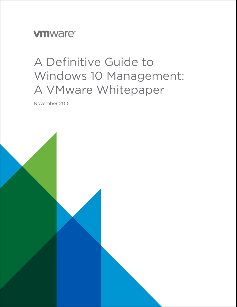## **vm**ware<sup>®</sup>

# A Definitive Guide to Windows 10 Management: A VMware Whitepaper

November 2015

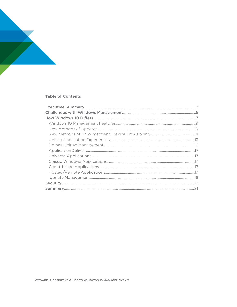

### **Table of Contents**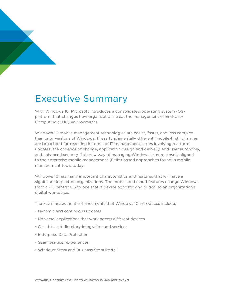

# Executive Summary

With Windows 10, Microsoft introduces a consolidated operating system (OS) platform that changes how organizations treat the management of End-User Computing (EUC) environments.

Windows 10 mobile management technologies are easier, faster, and less complex than prior versions of Windows. These fundamentally different "mobile-first" changes are broad and far-reaching in terms of IT management issues involving platform updates, the cadence of change, application design and delivery, end-user autonomy, and enhanced security. This new way of managing Windows is more closely aligned to the enterprise mobile management (EMM) based approaches found in mobile management tools today.

Windows 10 has many important characteristics and features that will have a significant impact on organizations. The mobile and cloud features change Windows from a PC-centric OS to one that is device agnostic and critical to an organization's digital workplace.

The key management enhancements that Windows 10 introduces include:

- Dynamic and continuous updates
- Universal applications that work across different devices
- Cloud-based directory integration and services
- Enterprise Data Protection
- Seamless user experiences
- Windows Store and Business Store Portal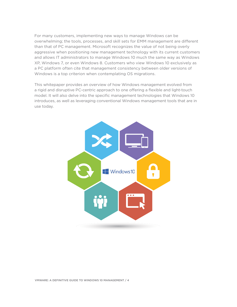For many customers, implementing new ways to manage Windows can be overwhelming; the tools, processes, and skill sets for EMM management are different than that of PC management. Microsoft recognizes the value of not being overly aggressive when positioning new management technology with its current customers and allows IT administrators to manage Windows 10 much the same way as Windows XP, Windows 7, or even Windows 8. Customers who view Windows 10 exclusively as a PC platform often cite that management consistency between older versions of Windows is a top criterion when contemplating OS migrations.

This whitepaper provides an overview of how Windows management evolved from a rigid and disruptive PC-centric approach to one offering a flexible and light-touch model. It will also delve into the specific management technologies that Windows 10 introduces, as well as leveraging conventional Windows management tools that are in use today.

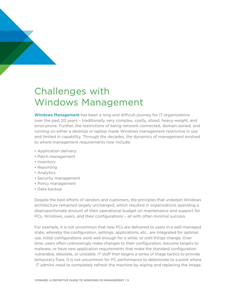### Challenges with Windows Management

Windows Management has been a long and difficult journey for IT organizations over the past 20 years – traditionally very complex, costly, siloed, heavy-weight, and error-prone. Further, the restrictions of being network connected, domain-joined, and running on either a desktop or laptop made Windows management restrictive in use and limited in capability. Through the decades, the dynamics of management evolved to where management requirements now include:

- Application delivery
- Patch management
- Inventory
- Reporting
- Analytics
- Security management
- Policy management
- Data backup

Despite the best efforts of vendors and customers, the principles that underpin Windows architecture remained largely unchanged, which resulted in organizations spending a disproportionate amount of their operational budget on maintenance and support for PCs, Windows, users, and their configurations – all with often minimal success.

For example, it is not uncommon that new PCs are delivered to users in a well-managed state, whereby the configuration, settings, applications, etc., are integrated for optimal use. Initial configurations work well enough for a while, or until things change. Over time, users often unknowingly make changes to their configuration, become targets to malware, or have new application requirements that make the standard configuration vulnerable, obsolete, or unstable. IT staff then begins a series of triage tactics to provide temporary fixes. It is not uncommon for PC performance to deteriorate to a point where IT admins need to completely refresh the machine by wiping and replacing the image.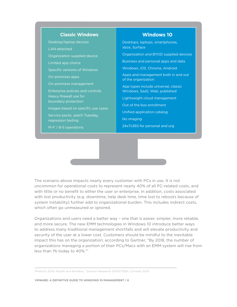#### **Classic Windows**

Desktop/laptop devices LAN attached Organization supplied device Limited app choice Specific versions of Windows On-premises apps On-premises management Enterprise policies and controls Heavy firewall use for boundary protection Images based on specific use cases Service packs, patch Tuesday, regression testing M-F / 8-5 operations

#### **Windows 10**

Desktops, laptops, smartphones, xbox, Surface Organization and BYOD supplied devices Business and personal apps and data Windows, iOS, Chrome, Android Apps and management both in and out of the organization App types include universal, classic Windows, SaaS, Web, published Lightweight cloud management Out of the box enrollment Unified application catalog No imaging 24x7x365 for personal and org

The scenario above impacts nearly every customer with PCs in use. It is not uncommon for operational costs to represent nearly 40% of all PC-related costs, and with little or no benefit to either the user or enterprise. In addition, costs associated with lost productivity (e.g. downtime, help desk time, time lost to reboots because of system instability) further add to organizational burden. This includes indirect costs, which often go unmeasured or ignored.

Organizations and users need a better way – one that is easier, simpler, more reliable, and more secure. The new EMM technologies in Windows 10 introduce better ways to address many traditional management shortfalls and will elevate productivity and security of the user at a lower cost. Customers should be mindful to the inevitable impact this has on the organization; according to Gartner, "By 2018, the number of organizations managing a portion of their PCs/Macs with an EMM system will rise from less than 1% today to 40%."1

1 Predicts 2016: Mobile and Wireless," Gartner Research G00273934, October 2015.

VMWARE: A DEFINITIVE GUIDE TO WINDOWS 10 MANAGEMENT / 6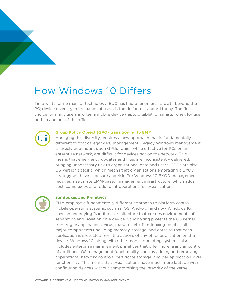## How Windows 10 Differs

Time waits for no man, or technology. EUC has had phenomenal growth beyond the PC; device diversity in the hands of users is the de facto standard today. The first choice for many users is often a mobile device (laptop, tablet, or smartphone), for use both in and out of the office.



#### **Group Policy Object (GPO) transitioning to EMM**

Managing this diversity requires a new approach that is fundamentally different to that of legacy PC management. Legacy Windows management is largely dependent upon GPOs, which while effective for PCs on an enterprise network, are difficult for devices not on the network. This means that emergency updates and fixes are inconsistently delivered, bringing unnecessary risk to organizational data and users. GPOs are also OS-version specific, which means that organizations embracing a BYOD strategy will have exposure and risk. Pre Windows 10 BYOD management requires a separate EMM-based management infrastructure, which adds cost, complexity, and redundant operations for organizations.



#### **Sandboxes and Primitives**

EMM employs a fundamentally different approach to platform control. Mobile operating systems, such as iOS, Android, and now Windows 10, have an underlying "sandbox" architecture that creates environments of separation and isolation on a device. Sandboxing protects the OS kernel from rogue applications, virus, malware, etc. Sandboxing touches all major components (including memory, storage, and data) so that each application is protected from the actions of any other application on the device. Windows 10, along with other mobile operating systems, also includes enterprise management primitives that offer more granular control of additional OS management functionality, such as adding and removing applications, network controls, certificate storage, and per-application VPN functionality. This means that organizations have much more latitude with configuring devices without compromising the integrity of the kernel.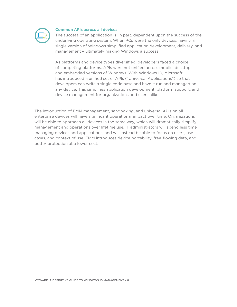

#### **Common APIs across all devices**

The success of an application is, in part, dependent upon the success of the underlying operating system. When PCs were the only devices, having a single version of Windows simplified application development, delivery, and management – ultimately making Windows a success.

As platforms and device types diversified, developers faced a choice of competing platforms. APIs were not unified across mobile, desktop, and embedded versions of Windows. With Windows 10, Microsoft has introduced a unified set of APIs ("Universal Applications") so that developers can write a single code base and have it run and managed on any device. This simplifies application development, platform support, and device management for organizations and users alike.

The introduction of EMM management, sandboxing, and universal APIs on all enterprise devices will have significant operational impact over time. Organizations will be able to approach all devices in the same way, which will dramatically simplify management and operations over lifetime use. IT administrators will spend less time managing devices and applications, and will instead be able to focus on users, use cases, and context of use. EMM introduces device portability, free-flowing data, and better protection at a lower cost.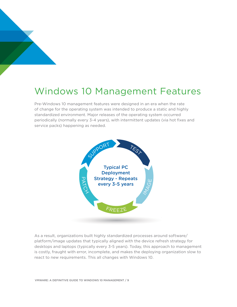### Windows 10 Management Features

Pre-Windows 10 management features were designed in an era when the rate of change for the operating system was intended to produce a static and highly standardized environment. Major releases of the operating system occurred periodically (normally every 3-4 years), with intermittent updates (via hot fixes and service packs) happening as needed.



As a result, organizations built highly standardized processes around software/ platform/image updates that typically aligned with the device refresh strategy for desktops and laptops (typically every 3-5 years). Today, this approach to management is costly, fraught with error, incomplete, and makes the deploying organization slow to react to new requirements. This all changes with Windows 10.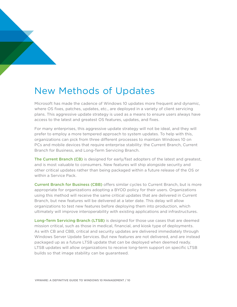### New Methods of Updates

Microsoft has made the cadence of Windows 10 updates more frequent and dynamic, where OS fixes, patches, updates, etc., are deployed in a variety of client servicing plans. This aggressive update strategy is used as a means to ensure users always have access to the latest and greatest OS features, updates, and fixes.

For many enterprises, this aggressive update strategy will not be ideal, and they will prefer to employ a more tempered approach to system updates. To help with this, organizations can pick from three different processes to maintain Windows 10 on PCs and mobile devices that require enterprise stability: the Current Branch, Current Branch for Business, and Long-Term Servicing Branch.

The Current Branch (CB) is designed for early/fast adopters of the latest and greatest, and is most valuable to consumers. New features will ship alongside security and other critical updates rather than being packaged within a future release of the OS or within a Service Pack.

Current Branch for Business (CBB) offers similar cycles to Current Branch, but is more appropriate for organizations adopting a BYOD policy for their users. Organizations using this method will receive the same critical updates that are delivered in Current Branch, but new features will be delivered at a later date. This delay will allow organizations to test new features before deploying them into production, which ultimately will improve interoperability with existing applications and infrastructures.

Long-Term Servicing Branch (LTSB) is designed for those use cases that are deemed mission critical, such as those in medical, financial, and kiosk type of deployments. As with CB and CBB, critical and security updates are delivered immediately through Windows Server Update Services. But new features are not delivered, and are instead packaged up as a future LTSB update that can be deployed when deemed ready. LTSB updates will allow organizations to receive long-term support on specific LTSB builds so that image stability can be guaranteed.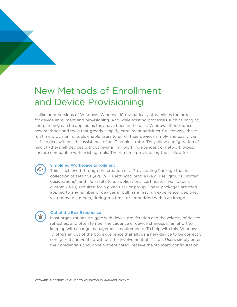### New Methods of Enrollment and Device Provisioning

Unlike prior versions of Windows, Windows 10 dramatically streamlines the process for device enrollment and provisioning. And while existing processes such as imaging and patching can be applied as they have been in the past, Windows 10 introduces new methods and tools that greatly simplify enrollment activities. Collectively, these run time provisioning tools enable users to enroll their devices simply and easily, via self-service, without the assistance of an IT administrator. They allow configuration of new off-the-shelf devices without re-imaging, work independent of network types, and are compatible with existing tools. The run time provisioning tools allow for:

#### Simplified Workspace Enrollment

This is achieved through the creation of a Provisioning Package that is a collection of settings (e.g. Wi-Fi settings), profiles (e.g. user groups, printer designations), and file assets (e.g. applications, certificates, wall papers, custom URLs) required for a given user or group. These packages are then applied to any number of devices in bulk as a first run experience, deployed via removable media, during run time, or embedded within an image.

#### Out of the Box Experience

Most organizations struggle with device proliferation and the velocity of device refreshes, and often temper the cadence of device changes in an effort to keep up with change management requirements. To help with this, Windows 10 offers an out of the box experience that allows a new device to be correctly configured and verified without the involvement of IT staff. Users simply enter their credentials and, once authenticated, receive the standard configuration.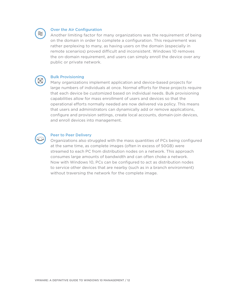

#### Over the Air Configuration

Another limiting factor for many organizations was the requirement of being on the domain in order to complete a configuration. This requirement was rather perplexing to many, as having users on the domain (especially in remote scenarios) proved difficult and inconsistent. Windows 10 removes the on-domain requirement, and users can simply enroll the device over any public or private network.



#### Bulk Provisioning

Many organizations implement application and device-based projects for large numbers of individuals at once. Normal efforts for these projects require that each device be customized based on individual needs. Bulk provisioning capabilities allow for mass enrollment of users and devices so that the operational efforts normally needed are now delivered via policy. This means that users and administrators can dynamically add or remove applications, configure and provision settings, create local accounts, domain-join devices, and enroll devices into management.



#### Peer to Peer Delivery

Organizations also struggled with the mass quantities of PCs being configured at the same time, as complete images (often in excess of 50GB) were streamed to each PC from distribution nodes on a network. This approach consumes large amounts of bandwidth and can often choke a network. Now with Windows 10, PCs can be configured to act as distribution nodes to service other devices that are nearby (such as in a branch environment) without traversing the network for the complete image.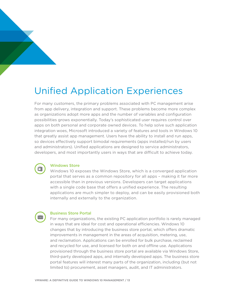### Unified Application Experiences

For many customers, the primary problems associated with PC management arise from app delivery, integration and support. These problems become more complex as organizations adopt more apps and the number of variables and configuration possibilities grows exponentially. Today's sophisticated user requires control over apps on both personal and corporate owned devices. To help solve such application integration woes, Microsoft introduced a variety of features and tools in Windows 10 that greatly assist app management. Users have the ability to install and run apps, so devices effectively support bimodal requirements (apps installed/run by users and administrators). Unified applications are designed to service administrators, developers, and most importantly users in ways that are difficult to achieve today.



#### Windows Store

Windows 10 exposes the Windows Store, which is a converged application portal that serves as a common repository for all apps – making it far more accessible than in previous versions. Developers can target applications with a single code base that offers a unified experience. The resulting applications are much simpler to deploy, and can be easily provisioned both internally and externally to the organization.



#### Business Store Portal

For many organizations, the existing PC application portfolio is rarely managed in ways that are ideal for cost and operational efficiencies. Windows 10 changes that by introducing the business store portal, which offers dramatic improvements in management in the areas of acquisition, metering, use, and reclamation. Applications can be enrolled for bulk purchase, reclaimed and recycled for use, and licensed for both on and offline use. Applications provisioned through the business store portal are available via Windows Store, third-party developed apps, and internally developed apps. The business store portal features will interest many parts of the organization, including (but not limited to) procurement, asset managers, audit, and IT administrators.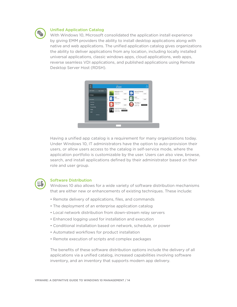

#### Unified Application Catalog

With Windows 10, Microsoft consolidated the application install experience by giving EMM providers the ability to install desktop applications along with native and web applications. The unified application catalog gives organizations the ability to deliver applications from any location, including locally installed universal applications, classic windows apps, cloud applications, web apps, reverse seamless VDI applications, and published applications using Remote Desktop Server Host (RDSH).



Having a unified app catalog is a requirement for many organizations today. Under Windows 10, IT administrators have the option to auto-provision their users, or allow users access to the catalog in self-service mode, where the application portfolio is customizable by the user. Users can also view, browse, search, and install applications defined by their administrator based on their role and user group.



#### Software Distribution

Windows 10 also allows for a wide variety of software distribution mechanisms that are either new or enhancements of existing techniques. These include:

- Remote delivery of applications, files, and commands
- The deployment of an enterprise application catalog
- Local network distribution from down-stream relay servers
- Enhanced logging used for installation and execution
- Conditional installation based on network, schedule, or power
- Automated workflows for product installation
- Remote execution of scripts and complex packages

The benefits of these software distribution options include the delivery of all applications via a unified catalog, increased capabilities involving software inventory, and an inventory that supports modern app delivery.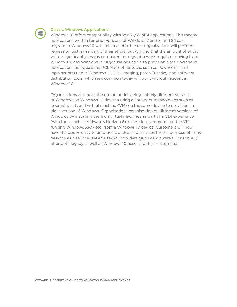

#### Classic Windows Applications

Windows 10 offers compatibility with Win32/Win64 applications. This means applications written for prior versions of Windows 7 and 8, and 8.1 can migrate to Windows 10 with minimal effort. Most organizations will perform regression testing as part of their effort, but will find that the amount of effort will be significantly less as compared to migration work required moving from Windows XP to Windows 7. Organizations can also provision classic Windows applications using existing PCLM (or other tools, such as PowerShell and login scripts) under Windows 10. Disk imaging, patch Tuesday, and software distribution tools, which are common today will work without incident in Windows 10.

Organizations also have the option of delivering entirely different versions of Windows on Windows 10 devices using a variety of technologies such as leveraging a type 1 virtual machine (VM) on the same device to provision an older version of Windows. Organizations can also deploy different versions of Windows by installing them on virtual machines as part of a VDI experience (with tools such as VMware's Horizon 6); users simply remote into the VM running Windows XP/7 etc. from a Windows 10 device. Customers will now have the opportunity to embrace cloud-based services for the purpose of using desktop as a service (DAAS). DAAS providers (such as VMware's Horizon Air) offer both legacy as well as Windows 10 access to their customers.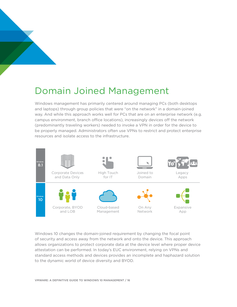### Domain Joined Management

Windows management has primarily centered around managing PCs (both desktops and laptops) through group policies that were "on the network" in a domain-joined way. And while this approach works well for PCs that are on an enterprise network (e.g. campus environment, branch office locations), increasingly devices off the network (predominantly traveling workers) needed to invoke a VPN in order for the device to be properly managed. Administrators often use VPNs to restrict and protect enterprise resources and isolate access to the infrastructure.



Windows 10 changes the domain-joined requirement by changing the focal point of security and access away from the network and onto the device. This approach allows organizations to protect corporate data at the device level where proper device attestation can be performed. In today's EUC environment, relying on VPNs and standard access methods and devices provides an incomplete and haphazard solution to the dynamic world of device diversity and BYOD.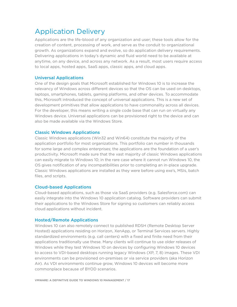### Application Delivery

Applications are the life-blood of any organization and user; these tools allow for the creation of content, processing of work, and serve as the conduit to organizational growth. As organizations expand and evolve, so do application delivery requirements. Delivering applications in today's dynamic and fluid world need to be available at anytime, on any device, and across any network. As a result, most users require access to local apps, hosted apps, SaaS apps, classic apps, and cloud apps.

#### Universal Applications

One of the design goals that Microsoft established for Windows 10 is to increase the relevancy of Windows across different devices so that the OS can be used on desktops, laptops, smartphones, tablets, gaming platforms, and other devices. To accommodate this, Microsoft introduced the concept of universal applications. This is a new set of development primitives that allow applications to have commonality across all devices. For the developer, this means writing a single code base that can run on virtually any Windows device. Universal applications can be provisioned right to the device and can also be made available via the Windows Store.

#### Classic Windows Applications

Classic Windows applications (Win32 and Win64) constitute the majority of the application portfolio for most organizations. This portfolio can number in thousands for some large and complex enterprises; the applications are the foundation of a user's productivity. Microsoft made sure that the vast majority of classic Windows applications can easily migrate to Windows 10; in the rare case where it cannot run Windows 10, the OS gives notification of any incompatibilities prior to completing an in-place upgrade. Classic Windows applications are installed as they were before using exe's, MSIs, batch files, and scripts.

#### Cloud-based Applications

Cloud-based applications, such as those via SaaS providers (e.g. Salesforce.com) can easily integrate into the Windows 10 application catalog. Software providers can submit their applications to the Windows Store for signing so customers can reliably access cloud applications without incident.

#### Hosted/Remote Applications

Windows 10 can also remotely connect to published RDSH (Remote Desktop Server Hosted) applications residing on Horizon, XenApp, or Terminal Services servers. Highly standardized environments (e.g. call centers) with a fixed and finite need from their applications traditionally use these. Many clients will continue to use older releases of Windows while they test Windows 10 on devices by configuring Windows 10 devices to access to VDI-based desktops running legacy Windows (XP, 7, 8) images. These VDI environments can be provisioned on-premises or via service providers (aka Horizon Air). As VDI environments continue grow, Windows 10 devices will become more commonplace because of BYOD scenarios.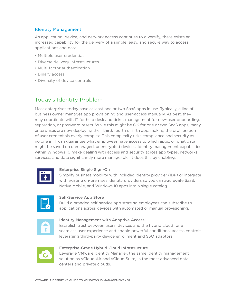#### Identity Management

As application, device, and network access continues to diversify, there exists an increased capability for the delivery of a simple, easy, and secure way to access applications and data.

- Multiple user credentials
- Diverse delivery infrastructures
- Multi-factor authentication
- Binary access
- Diversity of device controls

### Today's Identity Problem

Most enterprises today have at least one or two SaaS apps in use. Typically, a line of business owner manages app provisioning and user-access manually. At best, they may coordinate with IT for help desk and ticket management for new-user onboarding, separation, or password resets. While this might be OK for one or two SaaS apps, many enterprises are now deploying their third, fourth or fifth app, making the proliferation of user credentials overly complex. This complexity risks compliance and security as no one in IT can guarantee what employees have access to which apps, or what data might be saved on unmanaged, unencrypted devices. Identity management capabilities within Windows 10 make dealing with access and security across app types, networks, services, and data significantly more manageable. It does this by enabling:



#### Enterprise Single Sign-On

Simplify business mobility with included identity provider (IDP) or integrate with existing on-premises identity providers so you can aggregate SaaS, Native Mobile, and Windows 10 apps into a single catalog.



#### Self-Service App Store

Build a branded self-service app store so employees can subscribe to applications across devices with automated or manual provisioning.



#### Identity Management with Adaptive Access

Establish trust between users, devices and the hybrid cloud for a seamless user experience and enable powerful conditional access controls leveraging third-party device enrollment and SSO adaptors.



#### Enterprise-Grade Hybrid Cloud Infrastructure

Leverage VMware Identity Manager, the same identity management solution as vCloud Air and vCloud Suite, in the most advanced data centers and private clouds.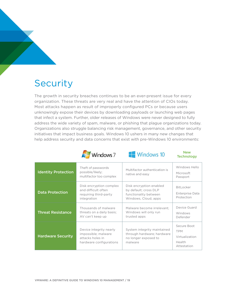### **Security**

The growth in security breaches continues to be an ever-present issue for every organization. These threats are very real and have the attention of CIOs today. Most attacks happen as result of improperly configured PCs or because users unknowingly expose their devices by downloading payloads or launching web pages that infect a system. Further, older releases of Windows were never designed to fully address the wide variety of spam, malware, or phishing that plague organizations today. Organizations also struggle balancing risk management, governance, and other security initiatives that impact business goals. Windows 10 ushers in many new changes that help address security and data concerns that exist with pre-Windows 10 environments:



#### New **Technology**

| <b>Identity Protection</b> | Theft of passwords<br>possible/likely;<br>multifactor too complex                             | Multifactor authentication is<br>native and easy                                                  | Windows Hello<br>Microsoft<br>Passport                               |
|----------------------------|-----------------------------------------------------------------------------------------------|---------------------------------------------------------------------------------------------------|----------------------------------------------------------------------|
| <b>Data Protection</b>     | Disk encryption complex<br>and difficult often<br>requiring third-party<br>integration        | Disk encryption enabled<br>by default; cross DLP<br>functionality between<br>Windows, Cloud, apps | BitLocker<br>Enterprise Data<br>Protection                           |
| <b>Threat Resistance</b>   | Thousands of malware<br>threats on a daily basis;<br>AV can't keep up                         | Malware become irrelevant;<br>Windows will only run<br>trusted apps                               | Device Guard<br>Windows<br>Defender                                  |
| <b>Hardware Security</b>   | Device integrity nearly<br>impossible; malware<br>attacks holes in<br>hardware configurations | System integrity maintained<br>through hardware; hardware<br>no longer exposed to<br>malware      | Secure Boot<br><b>TPM</b><br>Virtualization<br>Health<br>Attestation |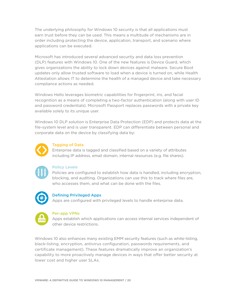The underlying philosophy for Windows 10 security is that all applications must earn trust before they can be used. This means a multitude of mechanisms are in order including protecting the device, application, transport, and scenario where applications can be executed.

Microsoft has introduced several advanced security and data loss prevention (DLP) features with Windows 10. One of the new features is Device Guard, which gives organizations the ability to lock down devices against malware. Secure Boot updates only allow trusted software to load when a device is turned on, while Health Attestation allows IT to determine the health of a managed device and take necessary compliance actions as needed.

Windows Hello leverages biometric capabilities for fingerprint, iris, and facial recognition as a means of completing a two-factor authentication (along with user ID and password credentials). Microsoft Passport replaces passwords with a private key available solely to its unique user.

Windows 10 DLP solution is Enterprise Data Protection (EDP) and protects data at the file-system level and is user transparent. EDP can differentiate between personal and corporate data on the device by classifying data by:



#### Tagging of Data

Enterprise data is tagged and classified based on a variety of attributes including IP address, email domain, internal resources (e.g. file shares).



#### Policy Levels

Policies are configured to establish how data is handled, including encryption, blocking, and auditing. Organizations can use this to track where files are, who accesses them, and what can be done with the files.



#### Defining Privileged Apps

Apps are configured with privileged levels to handle enterprise data.



#### Per-app VPNs

Apps establish which applications can access internal services independent of other device restrictions.

Windows 10 also enhances many existing EMM security features (such as white-listing, black-listing, encryption, antivirus configuration, passwords requirements, and certificate management). These features dramatically improve an organization's capability to more proactively manage devices in ways that offer better security at lower cost and higher user SLAs.